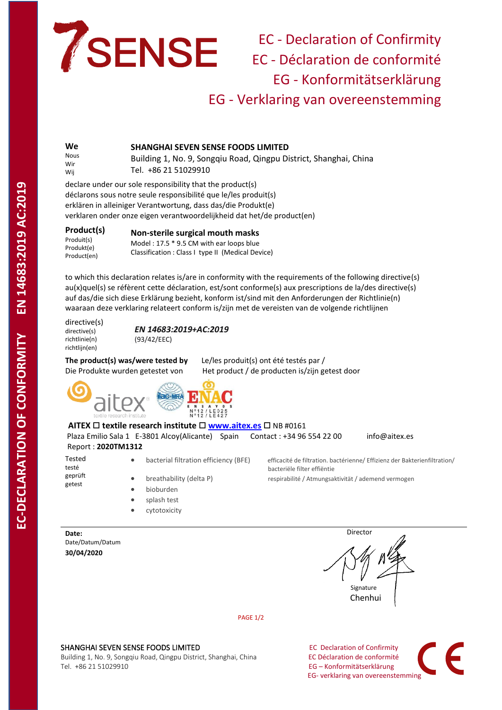

## EC - Declaration of Confirmity EC - Déclaration de conformité EG - Konformitätserklärung EG - Verklaring van overeenstemming

**We** Nous Wir Wij **SHANGHAI SEVEN SENSE FOODS LIMITED** Building 1, No. 9, Songqiu Road, Qingpu District, Shanghai, China Tel. +86 21 51029910

declare under our sole responsibility that the product(s) déclarons sous notre seule responsibilité que le/les produit(s) erklären in alleiniger Verantwortung, dass das/die Produkt(e) verklaren onder onze eigen verantwoordelijkheid dat het/de product(en)

| Product(s)  | Non-sterile surgical mouth masks                                                              |
|-------------|-----------------------------------------------------------------------------------------------|
| Produit(s)  | Model: 17.5 * 9.5 CM with ear loops blue<br>Classification : Class I type II (Medical Device) |
| Produkt(e)  |                                                                                               |
| Product(en) |                                                                                               |

to which this declaration relates is/are in conformity with the requirements of the following directive(s) au(x)quel(s) se réfèrent cette déclaration, est/sont conforme(s) aux prescriptions de la/des directive(s) auf das/die sich diese Erklärung bezieht, konform ist/sind mit den Anforderungen der Richtlinie(n) waaraan deze verklaring relateert conform is/zijn met de vereisten van de volgende richtlijnen

directive(s) directive(s) richtlinie(n) richtliin(en)

*EN 14683:2019+AC:2019* (93/42/EEC)

**The product(s) was/were tested by** Le/les produit(s) ont été testés par / Die Produkte wurden getestet von Het product / de producten is/zijn getest door



**AITEX**  $\Box$  **textile research institute**  $\Box$  **[www.aitex.es](http://www.aitex.es/)**  $\Box$  NB #0161 Plaza Emilio Sala 1 E-3801 Alcoy(Alicante) Spain Contact : +34 96 554 22 00 info@aitex.es Report : **2020TM1312** Tested • bacterial filtration efficiency (BFE) efficacité de filtration. bactérienne/ Effizienz der Bakterienfiltration/

bacteriële filter effiëntie

testé geprüft getest

- breathability (delta P) respirabilité / Atmungsaktivität / ademend vermogen
- 
- bioburden
- splash test
- cytotoxicity

**Date:** Date/Datum/Datum **30/04/2020**

**Director Director Signature** Signature Chenhui

PAGE 1/2

## SHANGHAI SEVEN SENSE FOODS LIMITED **EXAMPLE 2018 12 SHANGHAI SEVEN SERVERS**

Building 1, No. 9, Songqiu Road, Qingpu District, Shanghai, China **EC Déclaration de conformité**<br>
Tel. +86 21 51029910 **EG – Konformitätserklärung** 

EG – Konformitätserklärung EG- verklaring van overeenstemming